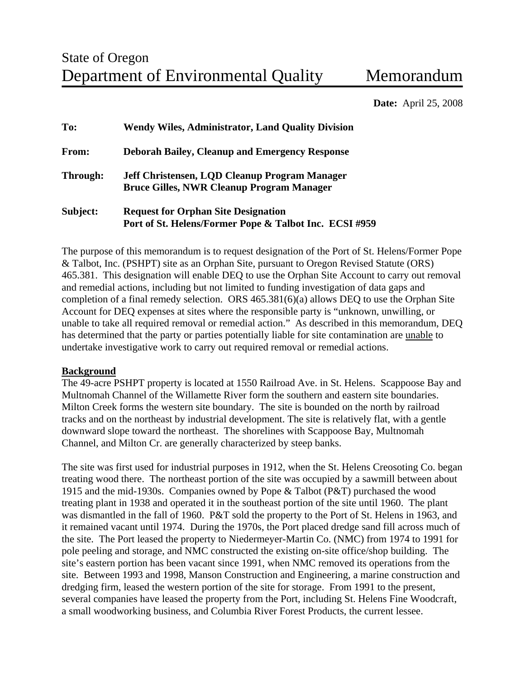**Date:** April 25, 2008

| To:          | <b>Wendy Wiles, Administrator, Land Quality Division</b>                                             |
|--------------|------------------------------------------------------------------------------------------------------|
| <b>From:</b> | <b>Deborah Bailey, Cleanup and Emergency Response</b>                                                |
| Through:     | Jeff Christensen, LQD Cleanup Program Manager<br><b>Bruce Gilles, NWR Cleanup Program Manager</b>    |
| Subject:     | <b>Request for Orphan Site Designation</b><br>Port of St. Helens/Former Pope & Talbot Inc. ECSI #959 |

The purpose of this memorandum is to request designation of the Port of St. Helens/Former Pope & Talbot, Inc. (PSHPT) site as an Orphan Site, pursuant to Oregon Revised Statute (ORS) 465.381. This designation will enable DEQ to use the Orphan Site Account to carry out removal and remedial actions, including but not limited to funding investigation of data gaps and completion of a final remedy selection. ORS 465.381(6)(a) allows DEQ to use the Orphan Site Account for DEQ expenses at sites where the responsible party is "unknown, unwilling, or unable to take all required removal or remedial action." As described in this memorandum, DEQ has determined that the party or parties potentially liable for site contamination are unable to undertake investigative work to carry out required removal or remedial actions.

#### **Background**

The 49-acre PSHPT property is located at 1550 Railroad Ave. in St. Helens. Scappoose Bay and Multnomah Channel of the Willamette River form the southern and eastern site boundaries. Milton Creek forms the western site boundary. The site is bounded on the north by railroad tracks and on the northeast by industrial development. The site is relatively flat, with a gentle downward slope toward the northeast. The shorelines with Scappoose Bay, Multnomah Channel, and Milton Cr. are generally characterized by steep banks.

The site was first used for industrial purposes in 1912, when the St. Helens Creosoting Co. began treating wood there. The northeast portion of the site was occupied by a sawmill between about 1915 and the mid-1930s. Companies owned by Pope & Talbot (P&T) purchased the wood treating plant in 1938 and operated it in the southeast portion of the site until 1960. The plant was dismantled in the fall of 1960. P&T sold the property to the Port of St. Helens in 1963, and it remained vacant until 1974. During the 1970s, the Port placed dredge sand fill across much of the site. The Port leased the property to Niedermeyer-Martin Co. (NMC) from 1974 to 1991 for pole peeling and storage, and NMC constructed the existing on-site office/shop building. The site's eastern portion has been vacant since 1991, when NMC removed its operations from the site. Between 1993 and 1998, Manson Construction and Engineering, a marine construction and dredging firm, leased the western portion of the site for storage. From 1991 to the present, several companies have leased the property from the Port, including St. Helens Fine Woodcraft, a small woodworking business, and Columbia River Forest Products, the current lessee.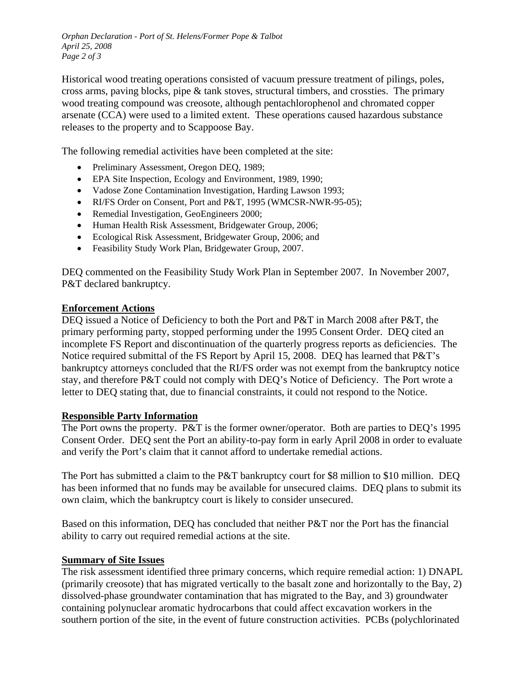*Orphan Declaration - Port of St. Helens/Former Pope & Talbot April 25, 2008 Page 2 of 3*

Historical wood treating operations consisted of vacuum pressure treatment of pilings, poles, cross arms, paving blocks, pipe & tank stoves, structural timbers, and crossties. The primary wood treating compound was creosote, although pentachlorophenol and chromated copper arsenate (CCA) were used to a limited extent. These operations caused hazardous substance releases to the property and to Scappoose Bay.

The following remedial activities have been completed at the site:

- Preliminary Assessment, Oregon DEO, 1989;
- EPA Site Inspection, Ecology and Environment, 1989, 1990;
- Vadose Zone Contamination Investigation, Harding Lawson 1993;
- RI/FS Order on Consent, Port and P&T, 1995 (WMCSR-NWR-95-05);
- Remedial Investigation, GeoEngineers 2000;
- Human Health Risk Assessment, Bridgewater Group, 2006;
- Ecological Risk Assessment, Bridgewater Group, 2006; and
- Feasibility Study Work Plan, Bridgewater Group, 2007.

DEQ commented on the Feasibility Study Work Plan in September 2007. In November 2007, P&T declared bankruptcy.

#### **Enforcement Actions**

DEQ issued a Notice of Deficiency to both the Port and P&T in March 2008 after P&T, the primary performing party, stopped performing under the 1995 Consent Order. DEQ cited an incomplete FS Report and discontinuation of the quarterly progress reports as deficiencies. The Notice required submittal of the FS Report by April 15, 2008. DEQ has learned that P&T's bankruptcy attorneys concluded that the RI/FS order was not exempt from the bankruptcy notice stay, and therefore P&T could not comply with DEQ's Notice of Deficiency. The Port wrote a letter to DEQ stating that, due to financial constraints, it could not respond to the Notice.

#### **Responsible Party Information**

The Port owns the property. P&T is the former owner/operator. Both are parties to DEQ's 1995 Consent Order. DEQ sent the Port an ability-to-pay form in early April 2008 in order to evaluate and verify the Port's claim that it cannot afford to undertake remedial actions.

The Port has submitted a claim to the P&T bankruptcy court for \$8 million to \$10 million. DEQ has been informed that no funds may be available for unsecured claims. DEQ plans to submit its own claim, which the bankruptcy court is likely to consider unsecured.

Based on this information, DEQ has concluded that neither P&T nor the Port has the financial ability to carry out required remedial actions at the site.

#### **Summary of Site Issues**

The risk assessment identified three primary concerns, which require remedial action: 1) DNAPL (primarily creosote) that has migrated vertically to the basalt zone and horizontally to the Bay, 2) dissolved-phase groundwater contamination that has migrated to the Bay, and 3) groundwater containing polynuclear aromatic hydrocarbons that could affect excavation workers in the southern portion of the site, in the event of future construction activities. PCBs (polychlorinated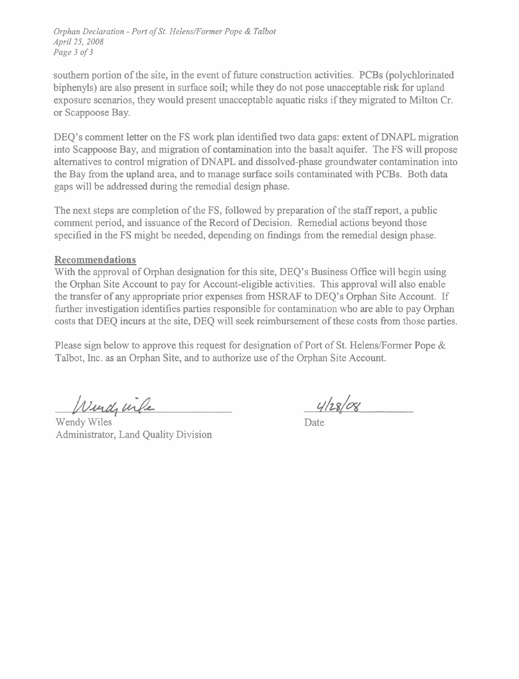*Orphan Declaration* - *Port of St. Helens/Former Pope* & *Talbot April 25, 2008 Page 3 of 3* 

southern portion of the site, in the event of future construction activities. PCBs (polychlorinated biphenyls) are also present in surface soil; while they do not pose unacceptable risk for upland exposure scenarios, they would present unacceptable aquatic risks if they migrated to Milton Cr. or Scappoose Bay.

DEO's comment letter on the FS work plan identified two data gaps: extent of DNAPL migration into Scappoose Bay, and migration of contamination into the basalt aquifer. The FS will propose alternatives to control migration of DNAPL and dissolved-phase groundwater contamination into the Bay fiom the upland area, and to manage surface soils contaminated with PCBs. Both data gaps will be addressed during the remedial design phase.

The next steps are completion of the FS, followed by preparation of the staff report, a public comment period, and issuance of the Record of Decision. Remedial actions beyond those specified in the FS might be needed, depending on findings fiom the remedial design phase.

### **Recommendations**

With the approval of Orphan designation for this site, DEQ's Business Office will begin using the Orphan Site Account to pay for Account-eligible activities. This approval will also enable the transfer of any appropriate prior expenses fiom HSRAF to DEQ's Orphan Site Account. If further investigation identifies parties responsible for contamination who are able to pay Orphan costs that DEQ incurs at the site, DEQ will seek reimbursement of these costs from those parties.

Please sign below to approve this request for designation of Port of St. Helens/Former Pope  $\&$ Talbot, Inc. as an Orphan Site, and to authorize use of the Orphan Site Account.

Windy wife

Wendy Wiles Administrator, Land Quality Division

 $4/28/08$ 

Date